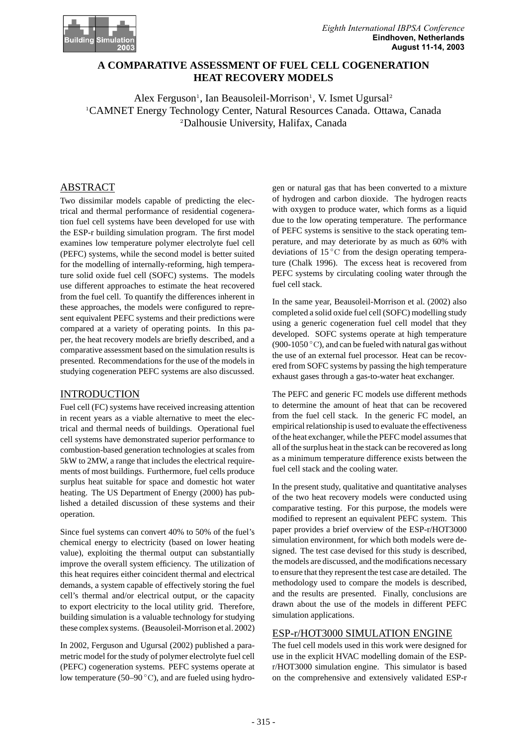

# **A COMPARATIVE ASSESSMENT OF FUEL CELL COGENERATION HEAT RECOVERY MODELS**

Alex Ferguson<sup>1</sup>, Ian Beausoleil-Morrison<sup>1</sup>, V. Ismet Ugursal<sup>2</sup> <sup>1</sup>CAMNET Energy Technology Center, Natural Resources Canada. Ottawa, Canada <sup>2</sup>Dalhousie University, Halifax, Canada

## ABSTRACT

Two dissimilar models capable of predicting the electrical and thermal performance of residential cogeneration fuel cell systems have been developed for use with the ESP-r building simulation program. The first model examines low temperature polymer electrolyte fuel cell (PEFC) systems, while the second model is better suited for the modelling of internally-reforming, high temperature solid oxide fuel cell (SOFC) systems. The models use different approaches to estimate the heat recovered from the fuel cell. To quantify the differences inherent in these approaches, the models were configured to represent equivalent PEFC systems and their predictions were compared at a variety of operating points. In this paper, the heat recovery models are briefly described, and a comparative assessment based on the simulation results is presented. Recommendations for the use of the models in studying cogeneration PEFC systems are also discussed.

## INTRODUCTION

Fuel cell (FC) systems have received increasing attention in recent years as a viable alternative to meet the electrical and thermal needs of buildings. Operational fuel cell systems have demonstrated superior performance to combustion-based generation technologies at scales from 5kW to 2MW, a range that includes the electrical requirements of most buildings. Furthermore, fuel cells produce surplus heat suitable for space and domestic hot water heating. The US Department of Energy (2000) has published a detailed discussion of these systems and their operation.

Since fuel systems can convert 40% to 50% of the fuel's chemical energy to electricity (based on lower heating value), exploiting the thermal output can substantially improve the overall system efficiency. The utilization of this heat requires either coincident thermal and electrical demands, a system capable of effectively storing the fuel cell's thermal and/or electrical output, or the capacity to export electricity to the local utility grid. Therefore, building simulation is a valuable technology for studying these complex systems. (Beausoleil-Morrison et al. 2002)

In 2002, Ferguson and Ugursal (2002) published a parametric model for the study of polymer electrolyte fuel cell (PEFC) cogeneration systems. PEFC systems operate at low temperature (50–90 $\degree$ C), and are fueled using hydrogen or natural gas that has been converted to a mixture of hydrogen and carbon dioxide. The hydrogen reacts with oxygen to produce water, which forms as a liquid due to the low operating temperature. The performance of PEFC systems is sensitive to the stack operating temperature, and may deteriorate by as much as 60% with deviations of 15 ◦C from the design operating temperature (Chalk 1996). The excess heat is recovered from PEFC systems by circulating cooling water through the fuel cell stack.

In the same year, Beausoleil-Morrison et al. (2002) also completed a solid oxide fuel cell (SOFC) modelling study using a generic cogeneration fuel cell model that they developed. SOFC systems operate at high temperature (900-1050 $\degree$ C), and can be fueled with natural gas without the use of an external fuel processor. Heat can be recovered from SOFC systems by passing the high temperature exhaust gases through a gas-to-water heat exchanger.

The PEFC and generic FC models use different methods to determine the amount of heat that can be recovered from the fuel cell stack. In the generic FC model, an empirical relationship is used to evaluate the effectiveness of the heat exchanger, while the PEFC model assumes that all of the surplus heat in the stack can be recovered as long as a minimum temperature difference exists between the fuel cell stack and the cooling water.

In the present study, qualitative and quantitative analyses of the two heat recovery models were conducted using comparative testing. For this purpose, the models were modified to represent an equivalent PEFC system. This paper provides a brief overview of the ESP-r/HOT3000 simulation environment, for which both models were designed. The test case devised for this study is described, the models are discussed, and the modifications necessary to ensure that they represent the test case are detailed. The methodology used to compare the models is described, and the results are presented. Finally, conclusions are drawn about the use of the models in different PEFC simulation applications.

# ESP-r/HOT3000 SIMULATION ENGINE

The fuel cell models used in this work were designed for use in the explicit HVAC modelling domain of the ESPr/HOT3000 simulation engine. This simulator is based on the comprehensive and extensively validated ESP-r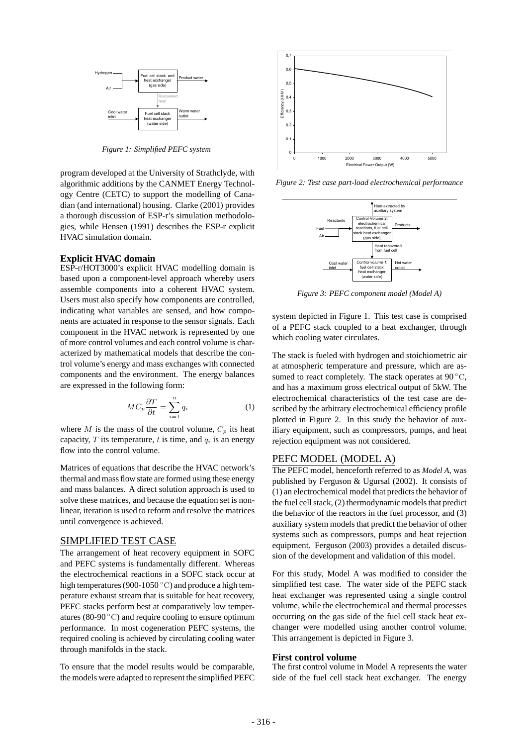

*Figure 1: Simplified PEFC system*

program developed at the University of Strathclyde, with algorithmic additions by the CANMET Energy Technology Centre (CETC) to support the modelling of Canadian (and international) housing. Clarke (2001) provides a thorough discussion of ESP-r's simulation methodologies, while Hensen (1991) describes the ESP-r explicit HVAC simulation domain.

## **Explicit HVAC domain**

ESP-r/HOT3000's explicit HVAC modelling domain is based upon a component-level approach whereby users assemble components into a coherent HVAC system. Users must also specify how components are controlled, indicating what variables are sensed, and how components are actuated in response to the sensor signals. Each component in the HVAC network is represented by one of more control volumes and each control volume is characterized by mathematical models that describe the control volume's energy and mass exchanges with connected components and the environment. The energy balances are expressed in the following form:

$$
MC_p \frac{\partial T}{\partial t} = \sum_{i=1}^n q_i \tag{1}
$$

where M is the mass of the control volume,  $C_p$  its heat capacity,  $T$  its temperature,  $t$  is time, and  $q_i$  is an energy flow into the control volume.

Matrices of equations that describe the HVAC network's thermal and mass flow state are formed using these energy and mass balances. A direct solution approach is used to solve these matrices, and because the equation set is nonlinear, iteration is used to reform and resolve the matrices until convergence is achieved.

#### SIMPLIFIED TEST CASE

The arrangement of heat recovery equipment in SOFC and PEFC systems is fundamentally different. Whereas the electrochemical reactions in a SOFC stack occur at high temperatures (900-1050 ◦C) and produce a high temperature exhaust stream that is suitable for heat recovery, PEFC stacks perform best at comparatively low temperatures (80-90 $\degree$ C) and require cooling to ensure optimum performance. In most cogeneration PEFC systems, the required cooling is achieved by circulating cooling water through manifolds in the stack.

To ensure that the model results would be comparable, the models were adapted to represent the simplified PEFC



*Figure 2: Test case part-load electrochemical performance*



*Figure 3: PEFC component model (Model A)*

system depicted in Figure 1. This test case is comprised of a PEFC stack coupled to a heat exchanger, through which cooling water circulates.

The stack is fueled with hydrogen and stoichiometric air at atmospheric temperature and pressure, which are assumed to react completely. The stack operates at  $90^{\circ}$ C, and has a maximum gross electrical output of 5kW. The electrochemical characteristics of the test case are described by the arbitrary electrochemical efficiency profile plotted in Figure 2. In this study the behavior of auxiliary equipment, such as compressors, pumps, and heat rejection equipment was not considered.

### PEFC MODEL (MODEL A)

The PEFC model, henceforth referred to as *Model A*, was published by Ferguson & Ugursal (2002). It consists of (1) an electrochemical model that predicts the behavior of the fuel cell stack, (2) thermodynamic models that predict the behavior of the reactors in the fuel processor, and (3) auxiliary system models that predict the behavior of other systems such as compressors, pumps and heat rejection equipment. Ferguson (2003) provides a detailed discussion of the development and validation of this model.

For this study, Model A was modified to consider the simplified test case. The water side of the PEFC stack heat exchanger was represented using a single control volume, while the electrochemical and thermal processes occurring on the gas side of the fuel cell stack heat exchanger were modelled using another control volume. This arrangement is depicted in Figure 3.

#### **First control volume**

The first control volume in Model A represents the water side of the fuel cell stack heat exchanger. The energy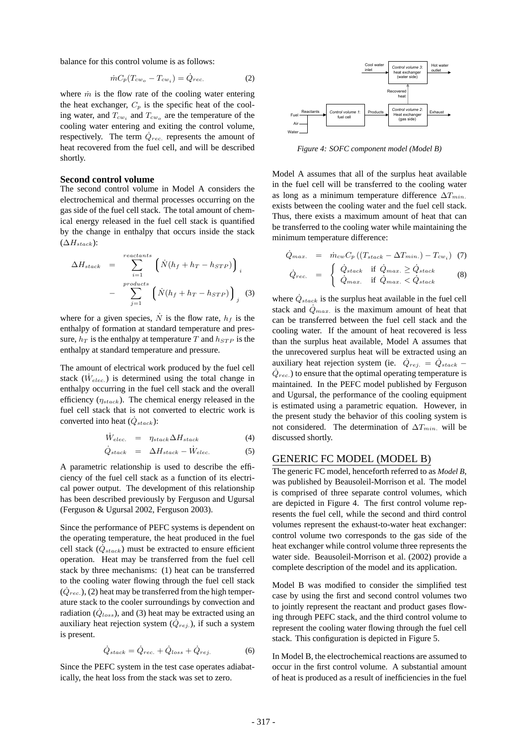balance for this control volume is as follows:

$$
\dot{m}C_p(T_{cw_o} - T_{cw_i}) = \dot{Q}_{rec.} \tag{2}
$$

where  $\dot{m}$  is the flow rate of the cooling water entering the heat exchanger,  $C_p$  is the specific heat of the cooling water, and  $T_{cw_i}$  and  $T_{cw_o}$  are the temperature of the cooling water entering and exiting the control volume, respectively. The term  $\dot{Q}_{rec.}$  represents the amount of heat recovered from the fuel cell, and will be described shortly.

### **Second control volume**

The second control volume in Model A considers the electrochemical and thermal processes occurring on the gas side of the fuel cell stack. The total amount of chemical energy released in the fuel cell stack is quantified by the change in enthalpy that occurs inside the stack  $(\Delta H_{stack})$ :

$$
\Delta H_{stack} = \sum_{i=1}^{reactants} \left( \dot{N}(h_f + h_T - h_{STP}) \right)_i
$$

$$
- \sum_{j=1}^{products} \left( \dot{N}(h_f + h_T - h_{STP}) \right)_j \tag{3}
$$

where for a given species,  $\dot{N}$  is the flow rate,  $h_f$  is the enthalpy of formation at standard temperature and pressure,  $h_T$  is the enthalpy at temperature T and  $h_{STP}$  is the enthalpy at standard temperature and pressure.

The amount of electrical work produced by the fuel cell stack  $(\dot{W}_{elec.})$  is determined using the total change in enthalpy occurring in the fuel cell stack and the overall efficiency (η*stack*). The chemical energy released in the fuel cell stack that is not converted to electric work is converted into heat  $(\dot{Q}_{stack})$ :

$$
\dot{W}_{elec.} = \eta_{stack}\Delta H_{stack} \tag{4}
$$

$$
\dot{Q}_{stack} = \Delta H_{stack} - \dot{W}_{elec.} \tag{5}
$$

A parametric relationship is used to describe the efficiency of the fuel cell stack as a function of its electrical power output. The development of this relationship has been described previously by Ferguson and Ugursal (Ferguson & Ugursal 2002, Ferguson 2003).

Since the performance of PEFC systems is dependent on the operating temperature, the heat produced in the fuel cell stack  $(\dot{Q}_{stack})$  must be extracted to ensure efficient operation. Heat may be transferred from the fuel cell stack by three mechanisms: (1) heat can be transferred to the cooling water flowing through the fuel cell stack  $(\dot{Q}_{rec.})$ , (2) heat may be transferred from the high temperature stack to the cooler surroundings by convection and radiation  $(Q_{loss})$ , and (3) heat may be extracted using an auxiliary heat rejection system  $(\dot{Q}_{rej.})$ , if such a system is present.

$$
\dot{Q}_{stack} = \dot{Q}_{rec.} + \dot{Q}_{loss} + \dot{Q}_{rej.}
$$
\n(6)

Since the PEFC system in the test case operates adiabatically, the heat loss from the stack was set to zero.



*Figure 4: SOFC component model (Model B)*

Model A assumes that all of the surplus heat available in the fuel cell will be transferred to the cooling water as long as a minimum temperature difference ∆T*min.* exists between the cooling water and the fuel cell stack. Thus, there exists a maximum amount of heat that can be transferred to the cooling water while maintaining the minimum temperature difference:

$$
\dot{Q}_{max.} = \dot{m}_{cw} C_p \left( \left( T_{stack} - \Delta T_{min.} \right) - T_{cw_i} \right) \tag{7}
$$

$$
\dot{Q}_{rec.} = \begin{cases} \dot{Q}_{stack} & \text{if } \dot{Q}_{max.} \geq \dot{Q}_{stack} \\ \dot{Q}_{max.} & \text{if } \dot{Q}_{max.} < \dot{Q}_{stack} \end{cases}
$$
 (8)

where  $\dot{Q}_{stack}$  is the surplus heat available in the fuel cell stack and  $\dot{Q}_{max.}$  is the maximum amount of heat that can be transferred between the fuel cell stack and the cooling water. If the amount of heat recovered is less than the surplus heat available, Model A assumes that the unrecovered surplus heat will be extracted using an auxiliary heat rejection system (ie.  $\dot{Q}_{rej.} = \dot{Q}_{stack} \dot{Q}_{rec.}$ ) to ensure that the optimal operating temperature is maintained. In the PEFC model published by Ferguson and Ugursal, the performance of the cooling equipment is estimated using a parametric equation. However, in the present study the behavior of this cooling system is not considered. The determination of ∆T*min.* will be discussed shortly.

#### GENERIC FC MODEL (MODEL B)

The generic FC model, henceforth referred to as *Model B*, was published by Beausoleil-Morrison et al. The model is comprised of three separate control volumes, which are depicted in Figure 4. The first control volume represents the fuel cell, while the second and third control volumes represent the exhaust-to-water heat exchanger: control volume two corresponds to the gas side of the heat exchanger while control volume three represents the water side. Beausoleil-Morrison et al. (2002) provide a complete description of the model and its application.

Model B was modified to consider the simplified test case by using the first and second control volumes two to jointly represent the reactant and product gases flowing through PEFC stack, and the third control volume to represent the cooling water flowing through the fuel cell stack. This configuration is depicted in Figure 5.

In Model B, the electrochemical reactions are assumed to occur in the first control volume. A substantial amount of heat is produced as a result of inefficiencies in the fuel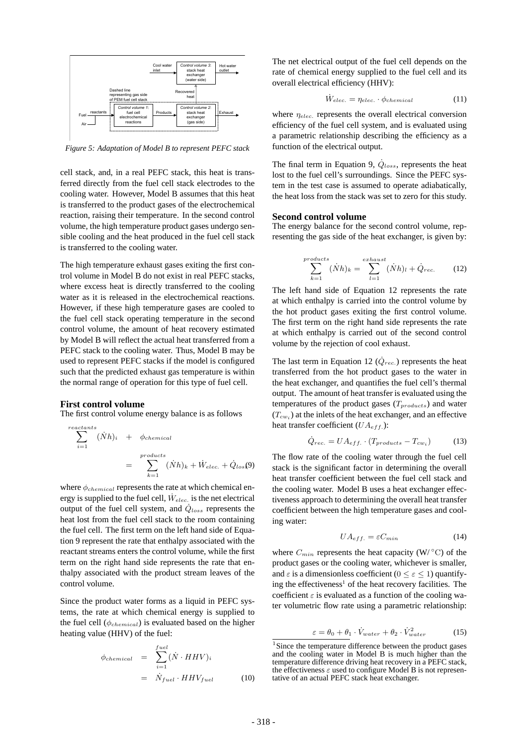

*Figure 5: Adaptation of Model B to represent PEFC stack*

cell stack, and, in a real PEFC stack, this heat is transferred directly from the fuel cell stack electrodes to the cooling water. However, Model B assumes that this heat is transferred to the product gases of the electrochemical reaction, raising their temperature. In the second control volume, the high temperature product gases undergo sensible cooling and the heat produced in the fuel cell stack is transferred to the cooling water.

The high temperature exhaust gases exiting the first control volume in Model B do not exist in real PEFC stacks, where excess heat is directly transferred to the cooling water as it is released in the electrochemical reactions. However, if these high temperature gases are cooled to the fuel cell stack operating temperature in the second control volume, the amount of heat recovery estimated by Model B will reflect the actual heat transferred from a PEFC stack to the cooling water. Thus, Model B may be used to represent PEFC stacks if the model is configured such that the predicted exhaust gas temperature is within the normal range of operation for this type of fuel cell.

#### **First control volume**

The first control volume energy balance is as follows

$$
\sum_{i=1}^{reactants} (\dot{N}h)_i + \phi_{chemical}
$$
  
= 
$$
\sum_{k=1}^{products} (\dot{N}h)_k + \dot{W}_{elec.} + \dot{Q}_{los}(9)
$$

where  $\phi_{chemical}$  represents the rate at which chemical energy is supplied to the fuel cell,  $\dot{W}_{elec.}$  is the net electrical output of the fuel cell system, and  $\dot{Q}_{loss}$  represents the heat lost from the fuel cell stack to the room containing the fuel cell. The first term on the left hand side of Equation 9 represent the rate that enthalpy associated with the reactant streams enters the control volume, while the first term on the right hand side represents the rate that enthalpy associated with the product stream leaves of the control volume.

Since the product water forms as a liquid in PEFC systems, the rate at which chemical energy is supplied to the fuel cell (φ*chemical*) is evaluated based on the higher heating value (HHV) of the fuel:

$$
\phi_{chemical} = \sum_{i=1}^{fuel} (\dot{N} \cdot HHV)_i
$$

$$
= \dot{N}_{fuel} \cdot HHV_{fuel}
$$
(10)

The net electrical output of the fuel cell depends on the rate of chemical energy supplied to the fuel cell and its overall electrical efficiency (HHV):

$$
\dot{W}_{elec.} = \eta_{elec.} \cdot \phi_{chemical} \tag{11}
$$

where  $\eta_{elec}$  represents the overall electrical conversion efficiency of the fuel cell system, and is evaluated using a parametric relationship describing the efficiency as a function of the electrical output.

The final term in Equation 9,  $\dot{Q}_{loss}$ , represents the heat lost to the fuel cell's surroundings. Since the PEFC system in the test case is assumed to operate adiabatically, the heat loss from the stack was set to zero for this study.

#### **Second control volume**

The energy balance for the second control volume, representing the gas side of the heat exchanger, is given by:

$$
\sum_{k=1}^{products} (\dot{N}h)_k = \sum_{l=1}^{exhaust} (\dot{N}h)_l + \dot{Q}_{rec.} \tag{12}
$$

The left hand side of Equation 12 represents the rate at which enthalpy is carried into the control volume by the hot product gases exiting the first control volume. The first term on the right hand side represents the rate at which enthalpy is carried out of the second control volume by the rejection of cool exhaust.

The last term in Equation 12  $(\dot{Q}_{rec.})$  represents the heat transferred from the hot product gases to the water in the heat exchanger, and quantifies the fuel cell's thermal output. The amount of heat transfer is evaluated using the temperatures of the product gases (T*products*) and water  $(T_{cws})$  at the inlets of the heat exchanger, and an effective heat transfer coefficient (UA*eff.*):

$$
\dot{Q}_{rec.} = UA_{eff.} \cdot (T_{products} - T_{cw_i}) \tag{13}
$$

The flow rate of the cooling water through the fuel cell stack is the significant factor in determining the overall heat transfer coefficient between the fuel cell stack and the cooling water. Model B uses a heat exchanger effectiveness approach to determining the overall heat transfer coefficient between the high temperature gases and cooling water:

$$
UA_{eff.} = \varepsilon C_{min} \tag{14}
$$

where  $C_{min}$  represents the heat capacity (W/ $\rm ^{\circ}C$ ) of the product gases or the cooling water, whichever is smaller, and  $\varepsilon$  is a dimensionless coefficient ( $0 \le \varepsilon \le 1$ ) quantifying the effectiveness<sup>1</sup> of the heat recovery facilities. The coefficient  $\varepsilon$  is evaluated as a function of the cooling water volumetric flow rate using a parametric relationship:

$$
\varepsilon = \theta_0 + \theta_1 \cdot \dot{V}_{water} + \theta_2 \cdot \dot{V}_{water}^2 \tag{15}
$$

 $1$ Since the temperature difference between the product gases and the cooling water in Model B is much higher than the temperature difference driving heat recovery in a PEFC stack, the effectiveness  $\varepsilon$  used to configure Model B is not representative of an actual PEFC stack heat exchanger.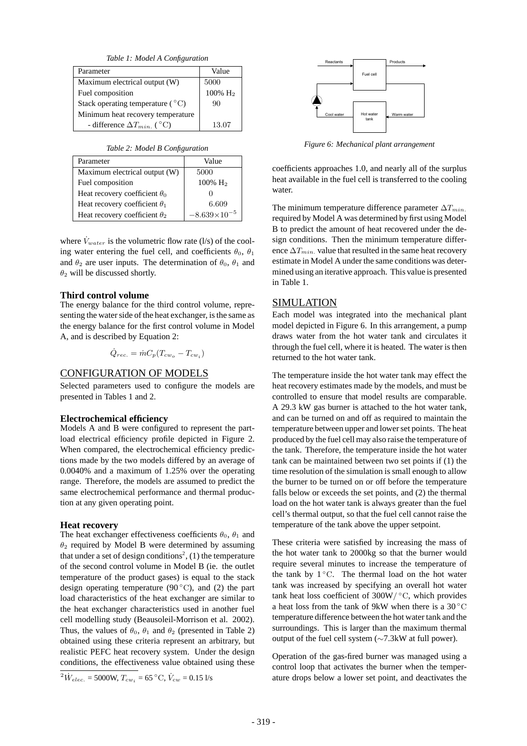*Table 1: Model A Configuration*

| Parameter                                 | Value               |
|-------------------------------------------|---------------------|
| Maximum electrical output (W)             | 5000                |
| Fuel composition                          | 100% H <sub>2</sub> |
| Stack operating temperature $(^{\circ}C)$ | 90                  |
| Minimum heat recovery temperature         |                     |
| - difference $\Delta T_{min}$ . (°C)      | 13.07               |

*Table 2: Model B Configuration*

| Parameter                            | Value                 |
|--------------------------------------|-----------------------|
| Maximum electrical output (W)        | 5000                  |
| Fuel composition                     | 100% $H_2$            |
| Heat recovery coefficient $\theta_0$ |                       |
| Heat recovery coefficient $\theta_1$ | 6.609                 |
| Heat recovery coefficient $\theta_2$ | $-8.639\times10^{-5}$ |

where  $\dot{V}_{water}$  is the volumetric flow rate (l/s) of the cooling water entering the fuel cell, and coefficients  $\theta_0$ ,  $\theta_1$ and  $\theta_2$  are user inputs. The determination of  $\theta_0$ ,  $\theta_1$  and  $\theta_2$  will be discussed shortly.

## **Third control volume**

The energy balance for the third control volume, representing the water side of the heat exchanger, is the same as the energy balance for the first control volume in Model A, and is described by Equation 2:

 $\dot{Q}_{rec.} = \dot{m}C_p(T_{cw_0} - T_{cw_i})$ 

# CONFIGURATION OF MODELS

Selected parameters used to configure the models are presented in Tables 1 and 2.

#### **Electrochemical efficiency**

Models A and B were configured to represent the partload electrical efficiency profile depicted in Figure 2. When compared, the electrochemical efficiency predictions made by the two models differed by an average of 0.0040% and a maximum of 1.25% over the operating range. Therefore, the models are assumed to predict the same electrochemical performance and thermal production at any given operating point.

#### **Heat recovery**

The heat exchanger effectiveness coefficients  $\theta_0$ ,  $\theta_1$  and  $\theta_2$  required by Model B were determined by assuming that under a set of design conditions<sup>2</sup>, (1) the temperature of the second control volume in Model B (ie. the outlet temperature of the product gases) is equal to the stack design operating temperature (90 $\degree$ C), and (2) the part load characteristics of the heat exchanger are similar to the heat exchanger characteristics used in another fuel cell modelling study (Beausoleil-Morrison et al. 2002). Thus, the values of  $\theta_0$ ,  $\theta_1$  and  $\theta_2$  (presented in Table 2) obtained using these criteria represent an arbitrary, but realistic PEFC heat recovery system. Under the design conditions, the effectiveness value obtained using these

 $^{2}\dot{W}_{elec.}$  = 5000W,  $T_{cw_i}$  = 65 °C,  $\dot{V}_{cw}$  = 0.15 l/s



*Figure 6: Mechanical plant arrangement*

coefficients approaches 1.0, and nearly all of the surplus heat available in the fuel cell is transferred to the cooling water

The minimum temperature difference parameter  $\Delta T_{min}$ . required by Model A was determined by first using Model B to predict the amount of heat recovered under the design conditions. Then the minimum temperature difference  $\Delta T_{min}$  value that resulted in the same heat recovery estimate in Model A under the same conditions was determined using an iterative approach. This value is presented in Table 1.

## SIMULATION

Each model was integrated into the mechanical plant model depicted in Figure 6. In this arrangement, a pump draws water from the hot water tank and circulates it through the fuel cell, where it is heated. The water is then returned to the hot water tank.

The temperature inside the hot water tank may effect the heat recovery estimates made by the models, and must be controlled to ensure that model results are comparable. A 29.3 kW gas burner is attached to the hot water tank, and can be turned on and off as required to maintain the temperature between upper and lower set points. The heat produced by the fuel cell may also raise the temperature of the tank. Therefore, the temperature inside the hot water tank can be maintained between two set points if (1) the time resolution of the simulation is small enough to allow the burner to be turned on or off before the temperature falls below or exceeds the set points, and (2) the thermal load on the hot water tank is always greater than the fuel cell's thermal output, so that the fuel cell cannot raise the temperature of the tank above the upper setpoint.

These criteria were satisfied by increasing the mass of the hot water tank to 2000kg so that the burner would require several minutes to increase the temperature of the tank by  $1°C$ . The thermal load on the hot water tank was increased by specifying an overall hot water tank heat loss coefficient of  $300W$ / $°C$ , which provides a heat loss from the tank of 9kW when there is a  $30^{\circ}$ C temperature difference between the hot water tank and the surroundings. This is larger than the maximum thermal output of the fuel cell system (∼7.3kW at full power).

Operation of the gas-fired burner was managed using a control loop that activates the burner when the temperature drops below a lower set point, and deactivates the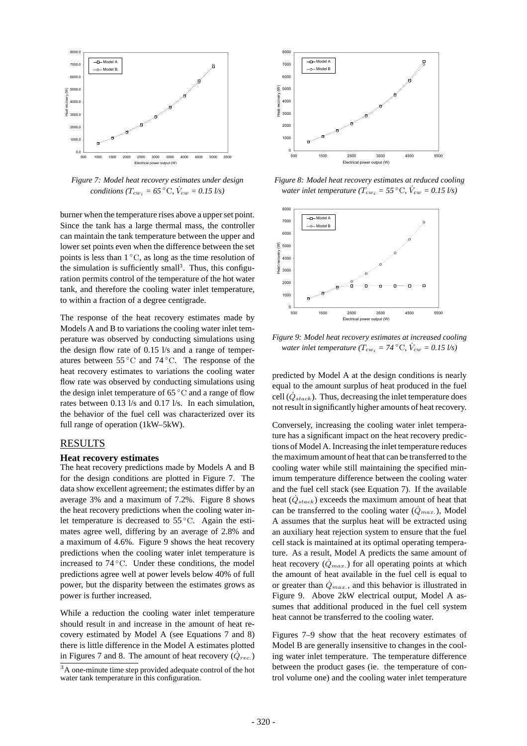

*Figure 7: Model heat recovery estimates under design conditions* ( $T_{cw_i} = 65^{\circ}$ C,  $\dot{V}_{cw} = 0.15 \frac{1}{s}$ )

burner when the temperature rises above a upper set point. Since the tank has a large thermal mass, the controller can maintain the tank temperature between the upper and lower set points even when the difference between the set points is less than  $1^\circ$ C, as long as the time resolution of the simulation is sufficiently small<sup>3</sup>. Thus, this configuration permits control of the temperature of the hot water tank, and therefore the cooling water inlet temperature, to within a fraction of a degree centigrade.

The response of the heat recovery estimates made by Models A and B to variations the cooling water inlet temperature was observed by conducting simulations using the design flow rate of 0.15 l/s and a range of temperatures between  $55^{\circ}$ C and  $74^{\circ}$ C. The response of the heat recovery estimates to variations the cooling water flow rate was observed by conducting simulations using the design inlet temperature of 65 ◦C and a range of flow rates between 0.13 l/s and 0.17 l/s. In each simulation, the behavior of the fuel cell was characterized over its full range of operation (1kW–5kW).

## RESULTS

#### **Heat recovery estimates**

The heat recovery predictions made by Models A and B for the design conditions are plotted in Figure 7. The data show excellent agreement; the estimates differ by an average 3% and a maximum of 7.2%. Figure 8 shows the heat recovery predictions when the cooling water inlet temperature is decreased to 55 ◦C. Again the estimates agree well, differing by an average of 2.8% and a maximum of 4.6%. Figure 9 shows the heat recovery predictions when the cooling water inlet temperature is increased to 74 ◦C. Under these conditions, the model predictions agree well at power levels below 40% of full power, but the disparity between the estimates grows as power is further increased.

While a reduction the cooling water inlet temperature should result in and increase in the amount of heat recovery estimated by Model A (see Equations 7 and 8) there is little difference in the Model A estimates plotted in Figures 7 and 8. The amount of heat recovery  $(\dot{Q}_{rec.})$ 

<sup>3</sup>A one-minute time step provided adequate control of the hot water tank temperature in this configuration.



*Figure 8: Model heat recovery estimates at reduced cooling water inlet temperature (* $T_{cw_i}$  *= 55*  $^{\circ}$ C,  $\dot{V}_{cw}$  *= 0.15 l/s)* 



*Figure 9: Model heat recovery estimates at increased cooling water inlet temperature (* $T_{cw_i}$  *= 74*  $^{\circ}$ C,  $\dot{V}_{cw}$  = 0.15 l/s)

predicted by Model A at the design conditions is nearly equal to the amount surplus of heat produced in the fuel cell  $(\dot{Q}_{stack})$ . Thus, decreasing the inlet temperature does not result in significantly higher amounts of heat recovery.

Conversely, increasing the cooling water inlet temperature has a significant impact on the heat recovery predictions of Model A. Increasing the inlet temperature reduces the maximum amount of heat that can be transferred to the cooling water while still maintaining the specified minimum temperature difference between the cooling water and the fuel cell stack (see Equation 7). If the available heat  $(\dot{Q}_{stack})$  exceeds the maximum amount of heat that can be transferred to the cooling water  $(\dot{Q}_{max.})$ , Model A assumes that the surplus heat will be extracted using an auxiliary heat rejection system to ensure that the fuel cell stack is maintained at its optimal operating temperature. As a result, Model A predicts the same amount of heat recovery  $(\dot{Q}_{max.})$  for all operating points at which the amount of heat available in the fuel cell is equal to or greater than  $\dot{Q}_{max}$ , and this behavior is illustrated in Figure 9. Above 2kW electrical output, Model A assumes that additional produced in the fuel cell system heat cannot be transferred to the cooling water.

Figures 7–9 show that the heat recovery estimates of Model B are generally insensitive to changes in the cooling water inlet temperature. The temperature difference between the product gases (ie. the temperature of control volume one) and the cooling water inlet temperature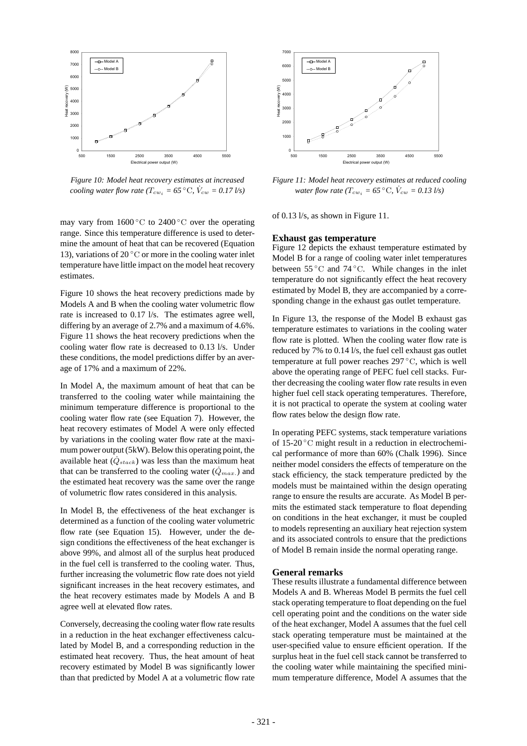

*Figure 10: Model heat recovery estimates at increased cooling water flow rate (* $T_{cw_i}$  = 65  $^{\circ}$ C,  $\dot{V}_{cw}$  = 0.17 *l/s*)

may vary from  $1600\degree C$  to  $2400\degree C$  over the operating range. Since this temperature difference is used to determine the amount of heat that can be recovered (Equation 13), variations of 20 $\degree$ C or more in the cooling water inlet temperature have little impact on the model heat recovery estimates.

Figure 10 shows the heat recovery predictions made by Models A and B when the cooling water volumetric flow rate is increased to 0.17 l/s. The estimates agree well, differing by an average of 2.7% and a maximum of 4.6%. Figure 11 shows the heat recovery predictions when the cooling water flow rate is decreased to 0.13 l/s. Under these conditions, the model predictions differ by an average of 17% and a maximum of 22%.

In Model A, the maximum amount of heat that can be transferred to the cooling water while maintaining the minimum temperature difference is proportional to the cooling water flow rate (see Equation 7). However, the heat recovery estimates of Model A were only effected by variations in the cooling water flow rate at the maximum power output (5kW). Below this operating point, the available heat  $(\dot{Q}_{stack})$  was less than the maximum heat that can be transferred to the cooling water  $(\dot{Q}_{max.})$  and the estimated heat recovery was the same over the range of volumetric flow rates considered in this analysis.

In Model B, the effectiveness of the heat exchanger is determined as a function of the cooling water volumetric flow rate (see Equation 15). However, under the design conditions the effectiveness of the heat exchanger is above 99%, and almost all of the surplus heat produced in the fuel cell is transferred to the cooling water. Thus, further increasing the volumetric flow rate does not yield significant increases in the heat recovery estimates, and the heat recovery estimates made by Models A and B agree well at elevated flow rates.

Conversely, decreasing the cooling water flow rate results in a reduction in the heat exchanger effectiveness calculated by Model B, and a corresponding reduction in the estimated heat recovery. Thus, the heat amount of heat recovery estimated by Model B was significantly lower than that predicted by Model A at a volumetric flow rate



*Figure 11: Model heat recovery estimates at reduced cooling water flow rate (* $T_{cw_i}$  = 65  $^{\circ}$ C,  $\dot{V}_{cw}$  = 0.13 l/s)

of 0.13 l/s, as shown in Figure 11.

#### **Exhaust gas temperature**

Figure 12 depicts the exhaust temperature estimated by Model B for a range of cooling water inlet temperatures between 55 ◦C and 74 ◦C. While changes in the inlet temperature do not significantly effect the heat recovery estimated by Model B, they are accompanied by a corresponding change in the exhaust gas outlet temperature.

In Figure 13, the response of the Model B exhaust gas temperature estimates to variations in the cooling water flow rate is plotted. When the cooling water flow rate is reduced by 7% to 0.14 l/s, the fuel cell exhaust gas outlet temperature at full power reaches 297 ◦C, which is well above the operating range of PEFC fuel cell stacks. Further decreasing the cooling water flow rate results in even higher fuel cell stack operating temperatures. Therefore, it is not practical to operate the system at cooling water flow rates below the design flow rate.

In operating PEFC systems, stack temperature variations of 15-20 ◦C might result in a reduction in electrochemical performance of more than 60% (Chalk 1996). Since neither model considers the effects of temperature on the stack efficiency, the stack temperature predicted by the models must be maintained within the design operating range to ensure the results are accurate. As Model B permits the estimated stack temperature to float depending on conditions in the heat exchanger, it must be coupled to models representing an auxiliary heat rejection system and its associated controls to ensure that the predictions of Model B remain inside the normal operating range.

### **General remarks**

These results illustrate a fundamental difference between Models A and B. Whereas Model B permits the fuel cell stack operating temperature to float depending on the fuel cell operating point and the conditions on the water side of the heat exchanger, Model A assumes that the fuel cell stack operating temperature must be maintained at the user-specified value to ensure efficient operation. If the surplus heat in the fuel cell stack cannot be transferred to the cooling water while maintaining the specified minimum temperature difference, Model A assumes that the